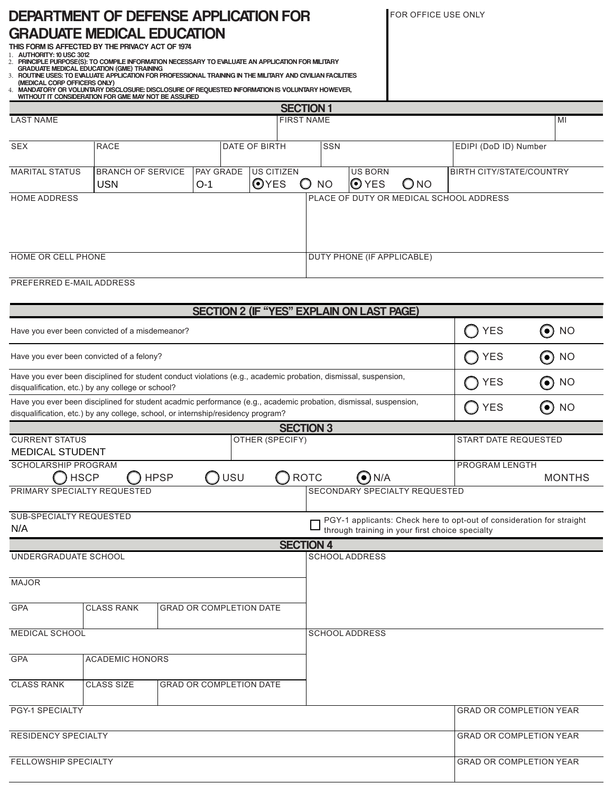## DEPARTMENT OF DEFENSE APPLICATION FOR GRADUATE MEDICAL EDUCATION THIS FORM IS AFFECTED BY THE PRIVACY ACT OF 1974

FOR OFFICE USE ONLY

1. AUTHORITY: 10 USC 3012 2. PRINCIPLE PURPOSE(S): TO COMPILE INFORMATION NECESSARY TO EVALUATE AN APPLICATION FOR MILITARY

GRADUATE MEDICAL EDUCATION (GME) TRAINING<br>3. ROUTINE USES: TO EVALUATE APPLICATION FOR PROFESSIONAL TRAINING IN THE MILITARY AND CIVILIAN FACILITIES<br>(MEDICAL CORP OFFICERS ONLY)

4. MANDATORY OR VOLUNTARY DISCLOSURE: DISCLOSURE OF REQUESTED INFORMATION IS VOLUNTARY HOWEVER,

|                                                                                                                                                                                                      | WITHOUT IT CONSIDERATION FOR GME MAY NOT BE ASSURED |                                |            |                                                  |                                       |                            |                             |                                                 |                                         |                                                                       |  |  |
|------------------------------------------------------------------------------------------------------------------------------------------------------------------------------------------------------|-----------------------------------------------------|--------------------------------|------------|--------------------------------------------------|---------------------------------------|----------------------------|-----------------------------|-------------------------------------------------|-----------------------------------------|-----------------------------------------------------------------------|--|--|
|                                                                                                                                                                                                      |                                                     |                                |            |                                                  | <b>SECTION 1</b><br><b>FIRST NAME</b> |                            |                             |                                                 |                                         |                                                                       |  |  |
| <b>LAST NAME</b>                                                                                                                                                                                     |                                                     |                                |            |                                                  |                                       |                            |                             |                                                 |                                         | MI                                                                    |  |  |
| <b>SEX</b>                                                                                                                                                                                           | <b>RACE</b>                                         |                                |            | DATE OF BIRTH                                    |                                       | SSN                        |                             |                                                 | EDIPI (DoD ID) Number                   |                                                                       |  |  |
| <b>MARITAL STATUS</b>                                                                                                                                                                                | <b>BRANCH OF SERVICE</b><br><b>USN</b>              | $O-1$                          |            | <b>PAY GRADE</b> US CITIZEN<br><b>O</b> YES      | $\circ$<br><b>NO</b>                  |                            | <b>US BORN</b><br>O YES     | $O$ NO                                          | <b>BIRTH CITY/STATE/COUNTRY</b>         |                                                                       |  |  |
| <b>HOME ADDRESS</b>                                                                                                                                                                                  |                                                     |                                |            |                                                  |                                       |                            |                             |                                                 | PLACE OF DUTY OR MEDICAL SCHOOL ADDRESS |                                                                       |  |  |
|                                                                                                                                                                                                      |                                                     |                                |            |                                                  |                                       |                            |                             |                                                 |                                         |                                                                       |  |  |
| HOME OR CELL PHONE                                                                                                                                                                                   |                                                     |                                |            |                                                  |                                       | DUTY PHONE (IF APPLICABLE) |                             |                                                 |                                         |                                                                       |  |  |
| PREFERRED E-MAIL ADDRESS                                                                                                                                                                             |                                                     |                                |            |                                                  |                                       |                            |                             |                                                 |                                         |                                                                       |  |  |
|                                                                                                                                                                                                      |                                                     |                                |            | <b>SECTION 2 (IF "YES" EXPLAIN ON LAST PAGE)</b> |                                       |                            |                             |                                                 |                                         |                                                                       |  |  |
|                                                                                                                                                                                                      | Have you ever been convicted of a misdemeanor?      |                                |            |                                                  |                                       |                            |                             |                                                 | <b>YES</b>                              | ⊙<br><b>NO</b>                                                        |  |  |
| Have you ever been convicted of a felony?                                                                                                                                                            |                                                     |                                |            |                                                  |                                       |                            | <b>YES</b>                  | $\odot$ NO                                      |                                         |                                                                       |  |  |
| Have you ever been disciplined for student conduct violations (e.g., academic probation, dismissal, suspension,<br>disqualification, etc.) by any college or school?                                 |                                                     |                                |            |                                                  |                                       |                            | <b>YES</b>                  | $\odot$ NO                                      |                                         |                                                                       |  |  |
| Have you ever been disciplined for student acadmic performance (e.g., academic probation, dismissal, suspension,<br>disqualification, etc.) by any college, school, or internship/residency program? |                                                     |                                |            |                                                  |                                       |                            | <b>YES</b>                  | ⊙<br><b>NO</b>                                  |                                         |                                                                       |  |  |
|                                                                                                                                                                                                      |                                                     |                                |            |                                                  | <b>SECTION 3</b>                      |                            |                             |                                                 |                                         |                                                                       |  |  |
| <b>CURRENT STATUS</b><br>OTHER (SPECIFY)                                                                                                                                                             |                                                     |                                |            |                                                  |                                       |                            | <b>START DATE REQUESTED</b> |                                                 |                                         |                                                                       |  |  |
| <b>MEDICAL STUDENT</b>                                                                                                                                                                               |                                                     |                                |            |                                                  |                                       |                            |                             |                                                 |                                         |                                                                       |  |  |
| <b>SCHOLARSHIP PROGRAM</b>                                                                                                                                                                           |                                                     |                                |            |                                                  |                                       |                            |                             |                                                 | PROGRAM LENGTH                          |                                                                       |  |  |
|                                                                                                                                                                                                      | <b>HSCP</b><br>PRIMARY SPECIALTY REQUESTED          | <b>HPSP</b>                    | <b>USU</b> |                                                  | <b>ROTC</b>                           |                            | $\odot$ N/A                 | SECONDARY SPECIALTY REQUESTED                   |                                         | <b>MONTHS</b>                                                         |  |  |
|                                                                                                                                                                                                      |                                                     |                                |            |                                                  |                                       |                            |                             |                                                 |                                         |                                                                       |  |  |
| <b>SUB-SPECIALTY REQUESTED</b>                                                                                                                                                                       |                                                     |                                |            |                                                  |                                       |                            |                             |                                                 |                                         | PGY-1 applicants: Check here to opt-out of consideration for straight |  |  |
| N/A                                                                                                                                                                                                  |                                                     |                                |            |                                                  |                                       |                            |                             | through training in your first choice specialty |                                         |                                                                       |  |  |
|                                                                                                                                                                                                      |                                                     |                                |            |                                                  | <b>SECTION 4</b>                      |                            |                             |                                                 |                                         |                                                                       |  |  |
| UNDERGRADUATE SCHOOL                                                                                                                                                                                 |                                                     |                                |            |                                                  |                                       | <b>SCHOOL ADDRESS</b>      |                             |                                                 |                                         |                                                                       |  |  |
| <b>MAJOR</b>                                                                                                                                                                                         |                                                     |                                |            |                                                  |                                       |                            |                             |                                                 |                                         |                                                                       |  |  |
| <b>GPA</b>                                                                                                                                                                                           | <b>CLASS RANK</b>                                   | <b>GRAD OR COMPLETION DATE</b> |            |                                                  |                                       |                            |                             |                                                 |                                         |                                                                       |  |  |
| <b>MEDICAL SCHOOL</b>                                                                                                                                                                                |                                                     |                                |            |                                                  |                                       | <b>SCHOOL ADDRESS</b>      |                             |                                                 |                                         |                                                                       |  |  |
| <b>GPA</b>                                                                                                                                                                                           | <b>ACADEMIC HONORS</b>                              |                                |            |                                                  |                                       |                            |                             |                                                 |                                         |                                                                       |  |  |
| <b>CLASS RANK</b>                                                                                                                                                                                    | <b>CLASS SIZE</b>                                   | <b>GRAD OR COMPLETION DATE</b> |            |                                                  |                                       |                            |                             |                                                 |                                         |                                                                       |  |  |
| PGY-1 SPECIALTY                                                                                                                                                                                      |                                                     |                                |            |                                                  |                                       |                            |                             |                                                 |                                         | <b>GRAD OR COMPLETION YEAR</b>                                        |  |  |
| <b>RESIDENCY SPECIALTY</b>                                                                                                                                                                           |                                                     |                                |            |                                                  |                                       |                            |                             |                                                 |                                         | <b>GRAD OR COMPLETION YEAR</b>                                        |  |  |
|                                                                                                                                                                                                      |                                                     |                                |            |                                                  |                                       |                            |                             |                                                 |                                         |                                                                       |  |  |
| FELLOWSHIP SPECIALTY                                                                                                                                                                                 |                                                     |                                |            |                                                  |                                       |                            |                             |                                                 |                                         | <b>GRAD OR COMPLETION YEAR</b>                                        |  |  |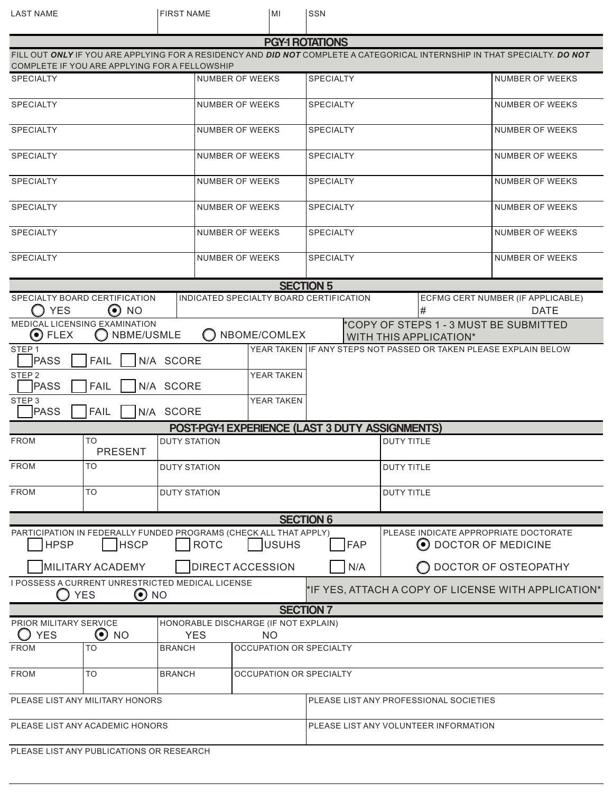| <b>LAST NAME</b>                                                                                                                                    |                                               | <b>FIRST NAME</b>                                                          |                                         | MI                | SSN                                                                     |                                                     |                                                               |                        |                                   |  |
|-----------------------------------------------------------------------------------------------------------------------------------------------------|-----------------------------------------------|----------------------------------------------------------------------------|-----------------------------------------|-------------------|-------------------------------------------------------------------------|-----------------------------------------------------|---------------------------------------------------------------|------------------------|-----------------------------------|--|
|                                                                                                                                                     |                                               |                                                                            |                                         |                   |                                                                         |                                                     |                                                               |                        |                                   |  |
| <b>PGY-1 ROTATIONS</b><br>FILL OUT ONLY IF YOU ARE APPLYING FOR A RESIDENCY AND DID NOT COMPLETE A CATEGORICAL INTERNSHIP IN THAT SPECIALTY, DO NOT |                                               |                                                                            |                                         |                   |                                                                         |                                                     |                                                               |                        |                                   |  |
|                                                                                                                                                     | COMPLETE IF YOU ARE APPLYING FOR A FELLOWSHIP |                                                                            |                                         |                   |                                                                         |                                                     |                                                               |                        |                                   |  |
| <b>SPECIALTY</b>                                                                                                                                    |                                               |                                                                            | <b>NUMBER OF WEEKS</b>                  | <b>SPECIALTY</b>  |                                                                         |                                                     | NUMBER OF WEEKS                                               |                        |                                   |  |
| <b>SPECIALTY</b>                                                                                                                                    |                                               |                                                                            | <b>NUMBER OF WEEKS</b>                  | <b>SPECIALTY</b>  |                                                                         |                                                     | <b>NUMBER OF WEEKS</b>                                        |                        |                                   |  |
| <b>SPECIALTY</b>                                                                                                                                    |                                               |                                                                            | NUMBER OF WEEKS                         | <b>SPECIALTY</b>  |                                                                         |                                                     |                                                               | <b>NUMBER OF WEEKS</b> |                                   |  |
| <b>SPECIALTY</b>                                                                                                                                    |                                               |                                                                            | NUMBER OF WEEKS                         | <b>SPECIALTY</b>  |                                                                         |                                                     |                                                               | NUMBER OF WEEKS        |                                   |  |
| <b>SPECIALTY</b>                                                                                                                                    |                                               |                                                                            | NUMBER OF WEEKS                         | <b>SPECIALTY</b>  |                                                                         |                                                     | <b>NUMBER OF WEEKS</b>                                        |                        |                                   |  |
| <b>SPECIALTY</b>                                                                                                                                    |                                               |                                                                            | <b>NUMBER OF WEEKS</b>                  | <b>SPECIALTY</b>  |                                                                         |                                                     |                                                               | <b>NUMBER OF WEEKS</b> |                                   |  |
| <b>SPECIALTY</b>                                                                                                                                    |                                               |                                                                            | NUMBER OF WEEKS                         | <b>SPECIALTY</b>  |                                                                         |                                                     | <b>NUMBER OF WEEKS</b>                                        |                        |                                   |  |
| <b>SPECIALTY</b>                                                                                                                                    |                                               |                                                                            | NUMBER OF WEEKS                         | <b>SPECIALTY</b>  |                                                                         |                                                     |                                                               | NUMBER OF WEEKS        |                                   |  |
|                                                                                                                                                     |                                               |                                                                            |                                         |                   | <b>SECTION 5</b>                                                        |                                                     |                                                               |                        |                                   |  |
|                                                                                                                                                     | SPECIALTY BOARD CERTIFICATION                 |                                                                            | INDICATED SPECIALTY BOARD CERTIFICATION |                   |                                                                         |                                                     |                                                               |                        | ECFMG CERT NUMBER (IF APPLICABLE) |  |
| <b>YES</b>                                                                                                                                          | $\odot$ NO                                    |                                                                            |                                         |                   |                                                                         |                                                     |                                                               | #                      | <b>DATE</b>                       |  |
| $\odot$ FLEX                                                                                                                                        | MEDICAL LICENSING EXAMINATION<br>NBME/USMLE   |                                                                            |                                         | NBOME/COMLEX      | *COPY OF STEPS 1 - 3 MUST BE SUBMITTED<br><b>WITH THIS APPLICATION*</b> |                                                     |                                                               |                        |                                   |  |
| STEP <sub>1</sub><br>N/A SCORE<br><b>PASS</b><br><b>FAIL</b>                                                                                        |                                               |                                                                            |                                         |                   | YEAR TAKEN IIF ANY STEPS NOT PASSED OR TAKEN PLEASE EXPLAIN BELOW       |                                                     |                                                               |                        |                                   |  |
| STEP <sub>2</sub><br><b>FAIL</b><br><b>PASS</b><br>N/A SCORE                                                                                        |                                               |                                                                            |                                         | <b>YEAR TAKEN</b> |                                                                         |                                                     |                                                               |                        |                                   |  |
| STEP <sub>3</sub><br>YEAR TAKEN<br><b>PASS</b><br><b>FAIL</b><br>N/A SCORE                                                                          |                                               |                                                                            |                                         |                   |                                                                         |                                                     |                                                               |                        |                                   |  |
| <b>POST-PGY-1 EXPERIENCE (LAST 3 DUTY ASSIGNMENTS)</b>                                                                                              |                                               |                                                                            |                                         |                   |                                                                         |                                                     |                                                               |                        |                                   |  |
| <b>FROM</b>                                                                                                                                         | TO<br>PRESENT                                 | DUTY STATION                                                               |                                         |                   | <b>DUTY TITLE</b>                                                       |                                                     |                                                               |                        |                                   |  |
| <b>FROM</b>                                                                                                                                         | TO                                            | <b>DUTY STATION</b>                                                        |                                         |                   | <b>DUTY TITLE</b>                                                       |                                                     |                                                               |                        |                                   |  |
| <b>FROM</b>                                                                                                                                         | TO                                            | <b>DUTY STATION</b>                                                        |                                         |                   |                                                                         |                                                     | <b>DUTY TITLE</b>                                             |                        |                                   |  |
|                                                                                                                                                     |                                               |                                                                            |                                         |                   | <b>SECTION 6</b>                                                        |                                                     |                                                               |                        |                                   |  |
| PARTICIPATION IN FEDERALLY FUNDED PROGRAMS (CHECK ALL THAT APPLY)<br><b>HPSP</b><br><b>HSCP</b><br><b>ROTC</b><br><b>USUHS</b>                      |                                               |                                                                            |                                         |                   |                                                                         | <b>FAP</b>                                          | PLEASE INDICATE APPROPRIATE DOCTORATE<br>O DOCTOR OF MEDICINE |                        |                                   |  |
| <b>MILITARY ACADEMY</b>                                                                                                                             |                                               |                                                                            | <b>DIRECT ACCESSION</b>                 |                   | N/A                                                                     |                                                     |                                                               | O DOCTOR OF OSTEOPATHY |                                   |  |
| I POSSESS A CURRENT UNRESTRICTED MEDICAL LICENSE<br>$\odot$ NO<br><b>YES</b>                                                                        |                                               |                                                                            |                                         |                   |                                                                         | *IF YES, ATTACH A COPY OF LICENSE WITH APPLICATION* |                                                               |                        |                                   |  |
|                                                                                                                                                     |                                               |                                                                            |                                         |                   | <b>SECTION 7</b>                                                        |                                                     |                                                               |                        |                                   |  |
| HONORABLE DISCHARGE (IF NOT EXPLAIN)<br><b>PRIOR MILITARY SERVICE</b><br>O<br><b>YES</b><br><b>NO</b>                                               |                                               |                                                                            |                                         |                   |                                                                         |                                                     |                                                               |                        |                                   |  |
| <b>FROM</b>                                                                                                                                         | TO                                            | <b>YES</b><br><b>NO</b><br><b>OCCUPATION OR SPECIALTY</b><br><b>BRANCH</b> |                                         |                   |                                                                         |                                                     |                                                               |                        |                                   |  |
| <b>FROM</b>                                                                                                                                         | TO                                            | <b>BRANCH</b>                                                              | OCCUPATION OR SPECIALTY                 |                   |                                                                         |                                                     |                                                               |                        |                                   |  |
|                                                                                                                                                     |                                               |                                                                            |                                         |                   | PLEASE LIST ANY PROFESSIONAL SOCIETIES                                  |                                                     |                                                               |                        |                                   |  |
| PLEASE LIST ANY MILITARY HONORS                                                                                                                     |                                               |                                                                            |                                         |                   |                                                                         |                                                     |                                                               |                        |                                   |  |
| PLEASE LIST ANY ACADEMIC HONORS                                                                                                                     |                                               |                                                                            |                                         |                   |                                                                         | PLEASE LIST ANY VOLUNTEER INFORMATION               |                                                               |                        |                                   |  |
|                                                                                                                                                     | PLEASE LIST ANY PUBLICATIONS OR RESEARCH      |                                                                            |                                         |                   |                                                                         |                                                     |                                                               |                        |                                   |  |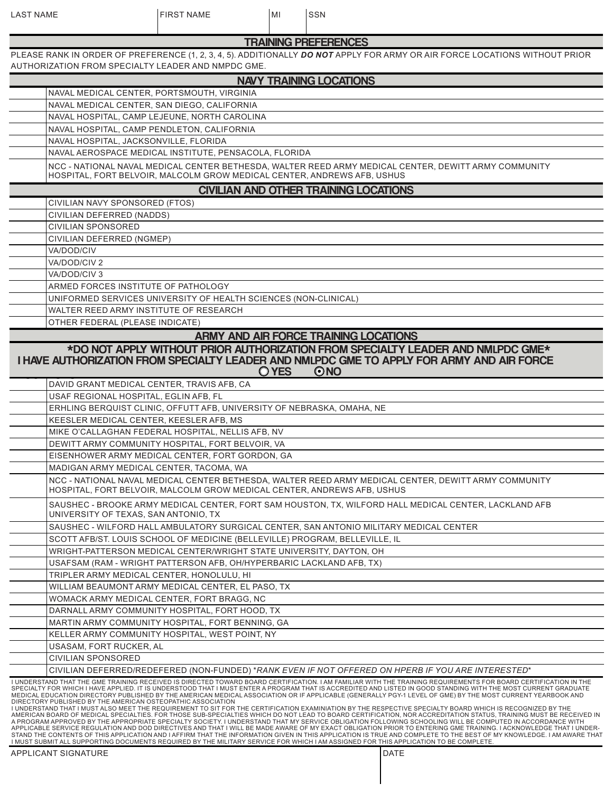| <b>LAST NAME</b>          | <b>FIRST NAME</b>                                                                              | MI    | SSN                                                                                                                                                                                                                                                                                                                                                                                                                                                                                                                                                                                                                                                                                                                                                                                                                                                                                                                                                                                                                                                                                                                                                                                                                                                                                                                                                                                                                                                                                |
|---------------------------|------------------------------------------------------------------------------------------------|-------|------------------------------------------------------------------------------------------------------------------------------------------------------------------------------------------------------------------------------------------------------------------------------------------------------------------------------------------------------------------------------------------------------------------------------------------------------------------------------------------------------------------------------------------------------------------------------------------------------------------------------------------------------------------------------------------------------------------------------------------------------------------------------------------------------------------------------------------------------------------------------------------------------------------------------------------------------------------------------------------------------------------------------------------------------------------------------------------------------------------------------------------------------------------------------------------------------------------------------------------------------------------------------------------------------------------------------------------------------------------------------------------------------------------------------------------------------------------------------------|
|                           |                                                                                                |       | <b>TRAINING PREFERENCES</b>                                                                                                                                                                                                                                                                                                                                                                                                                                                                                                                                                                                                                                                                                                                                                                                                                                                                                                                                                                                                                                                                                                                                                                                                                                                                                                                                                                                                                                                        |
|                           | AUTHORIZATION FROM SPECIALTY LEADER AND NMPDC GME.                                             |       | PLEASE RANK IN ORDER OF PREFERENCE (1, 2, 3, 4, 5). ADDITIONALLY DO NOT APPLY FOR ARMY OR AIR FORCE LOCATIONS WITHOUT PRIOR                                                                                                                                                                                                                                                                                                                                                                                                                                                                                                                                                                                                                                                                                                                                                                                                                                                                                                                                                                                                                                                                                                                                                                                                                                                                                                                                                        |
|                           |                                                                                                |       | <b>NAVY TRAINING LOCATIONS</b>                                                                                                                                                                                                                                                                                                                                                                                                                                                                                                                                                                                                                                                                                                                                                                                                                                                                                                                                                                                                                                                                                                                                                                                                                                                                                                                                                                                                                                                     |
|                           | NAVAL MEDICAL CENTER, PORTSMOUTH, VIRGINIA                                                     |       |                                                                                                                                                                                                                                                                                                                                                                                                                                                                                                                                                                                                                                                                                                                                                                                                                                                                                                                                                                                                                                                                                                                                                                                                                                                                                                                                                                                                                                                                                    |
|                           | NAVAL MEDICAL CENTER, SAN DIEGO, CALIFORNIA                                                    |       |                                                                                                                                                                                                                                                                                                                                                                                                                                                                                                                                                                                                                                                                                                                                                                                                                                                                                                                                                                                                                                                                                                                                                                                                                                                                                                                                                                                                                                                                                    |
|                           | NAVAL HOSPITAL, CAMP LEJEUNE, NORTH CAROLINA                                                   |       |                                                                                                                                                                                                                                                                                                                                                                                                                                                                                                                                                                                                                                                                                                                                                                                                                                                                                                                                                                                                                                                                                                                                                                                                                                                                                                                                                                                                                                                                                    |
|                           | NAVAL HOSPITAL, CAMP PENDLETON, CALIFORNIA                                                     |       |                                                                                                                                                                                                                                                                                                                                                                                                                                                                                                                                                                                                                                                                                                                                                                                                                                                                                                                                                                                                                                                                                                                                                                                                                                                                                                                                                                                                                                                                                    |
|                           | NAVAL HOSPITAL, JACKSONVILLE, FLORIDA                                                          |       |                                                                                                                                                                                                                                                                                                                                                                                                                                                                                                                                                                                                                                                                                                                                                                                                                                                                                                                                                                                                                                                                                                                                                                                                                                                                                                                                                                                                                                                                                    |
|                           | NAVAL AEROSPACE MEDICAL INSTITUTE, PENSACOLA, FLORIDA                                          |       |                                                                                                                                                                                                                                                                                                                                                                                                                                                                                                                                                                                                                                                                                                                                                                                                                                                                                                                                                                                                                                                                                                                                                                                                                                                                                                                                                                                                                                                                                    |
|                           | HOSPITAL, FORT BELVOIR, MALCOLM GROW MEDICAL CENTER, ANDREWS AFB, USHUS                        |       | NCC - NATIONAL NAVAL MEDICAL CENTER BETHESDA, WALTER REED ARMY MEDICAL CENTER, DEWITT ARMY COMMUNITY                                                                                                                                                                                                                                                                                                                                                                                                                                                                                                                                                                                                                                                                                                                                                                                                                                                                                                                                                                                                                                                                                                                                                                                                                                                                                                                                                                               |
|                           |                                                                                                |       | <b>CIVILIAN AND OTHER TRAINING LOCATIONS</b>                                                                                                                                                                                                                                                                                                                                                                                                                                                                                                                                                                                                                                                                                                                                                                                                                                                                                                                                                                                                                                                                                                                                                                                                                                                                                                                                                                                                                                       |
| CIVILIAN DEFERRED (NADDS) | CIVILIAN NAVY SPONSORED (FTOS)                                                                 |       |                                                                                                                                                                                                                                                                                                                                                                                                                                                                                                                                                                                                                                                                                                                                                                                                                                                                                                                                                                                                                                                                                                                                                                                                                                                                                                                                                                                                                                                                                    |
| <b>CIVILIAN SPONSORED</b> |                                                                                                |       |                                                                                                                                                                                                                                                                                                                                                                                                                                                                                                                                                                                                                                                                                                                                                                                                                                                                                                                                                                                                                                                                                                                                                                                                                                                                                                                                                                                                                                                                                    |
| CIVILIAN DEFERRED (NGMEP) |                                                                                                |       |                                                                                                                                                                                                                                                                                                                                                                                                                                                                                                                                                                                                                                                                                                                                                                                                                                                                                                                                                                                                                                                                                                                                                                                                                                                                                                                                                                                                                                                                                    |
| VA/DOD/CIV                |                                                                                                |       |                                                                                                                                                                                                                                                                                                                                                                                                                                                                                                                                                                                                                                                                                                                                                                                                                                                                                                                                                                                                                                                                                                                                                                                                                                                                                                                                                                                                                                                                                    |
| VA/DOD/CIV 2              |                                                                                                |       |                                                                                                                                                                                                                                                                                                                                                                                                                                                                                                                                                                                                                                                                                                                                                                                                                                                                                                                                                                                                                                                                                                                                                                                                                                                                                                                                                                                                                                                                                    |
| VA/DOD/CIV 3              |                                                                                                |       |                                                                                                                                                                                                                                                                                                                                                                                                                                                                                                                                                                                                                                                                                                                                                                                                                                                                                                                                                                                                                                                                                                                                                                                                                                                                                                                                                                                                                                                                                    |
|                           | ARMED FORCES INSTITUTE OF PATHOLOGY                                                            |       |                                                                                                                                                                                                                                                                                                                                                                                                                                                                                                                                                                                                                                                                                                                                                                                                                                                                                                                                                                                                                                                                                                                                                                                                                                                                                                                                                                                                                                                                                    |
|                           | UNIFORMED SERVICES UNIVERSITY OF HEALTH SCIENCES (NON-CLINICAL)                                |       |                                                                                                                                                                                                                                                                                                                                                                                                                                                                                                                                                                                                                                                                                                                                                                                                                                                                                                                                                                                                                                                                                                                                                                                                                                                                                                                                                                                                                                                                                    |
|                           | WALTER REED ARMY INSTITUTE OF RESEARCH                                                         |       |                                                                                                                                                                                                                                                                                                                                                                                                                                                                                                                                                                                                                                                                                                                                                                                                                                                                                                                                                                                                                                                                                                                                                                                                                                                                                                                                                                                                                                                                                    |
|                           | OTHER FEDERAL (PLEASE INDICATE)                                                                |       |                                                                                                                                                                                                                                                                                                                                                                                                                                                                                                                                                                                                                                                                                                                                                                                                                                                                                                                                                                                                                                                                                                                                                                                                                                                                                                                                                                                                                                                                                    |
|                           |                                                                                                |       | ARMY AND AIR FORCE TRAINING LOCATIONS                                                                                                                                                                                                                                                                                                                                                                                                                                                                                                                                                                                                                                                                                                                                                                                                                                                                                                                                                                                                                                                                                                                                                                                                                                                                                                                                                                                                                                              |
|                           |                                                                                                | O YES | *DO NOT APPLY WITHOUT PRIOR AUTHORIZATION FROM SPECIALTY LEADER AND NMLPDC GME*<br>I HAVE AUTHORIZATION FROM SPECIALTY LEADER AND NMLPDC GME TO APPLY FOR ARMY AND AIR FORCE<br>$\odot$ NO                                                                                                                                                                                                                                                                                                                                                                                                                                                                                                                                                                                                                                                                                                                                                                                                                                                                                                                                                                                                                                                                                                                                                                                                                                                                                         |
|                           | DAVID GRANT MEDICAL CENTER, TRAVIS AFB, CA                                                     |       |                                                                                                                                                                                                                                                                                                                                                                                                                                                                                                                                                                                                                                                                                                                                                                                                                                                                                                                                                                                                                                                                                                                                                                                                                                                                                                                                                                                                                                                                                    |
|                           | USAF REGIONAL HOSPITAL, EGLIN AFB, FL                                                          |       |                                                                                                                                                                                                                                                                                                                                                                                                                                                                                                                                                                                                                                                                                                                                                                                                                                                                                                                                                                                                                                                                                                                                                                                                                                                                                                                                                                                                                                                                                    |
|                           | ERHLING BERQUIST CLINIC, OFFUTT AFB, UNIVERSITY OF NEBRASKA, OMAHA, NE                         |       |                                                                                                                                                                                                                                                                                                                                                                                                                                                                                                                                                                                                                                                                                                                                                                                                                                                                                                                                                                                                                                                                                                                                                                                                                                                                                                                                                                                                                                                                                    |
|                           | KEESLER MEDICAL CENTER, KEESLER AFB, MS<br>MIKE O'CALLAGHAN FEDERAL HOSPITAL, NELLIS AFB, NV   |       |                                                                                                                                                                                                                                                                                                                                                                                                                                                                                                                                                                                                                                                                                                                                                                                                                                                                                                                                                                                                                                                                                                                                                                                                                                                                                                                                                                                                                                                                                    |
|                           | DEWITT ARMY COMMUNITY HOSPITAL, FORT BELVOIR, VA                                               |       |                                                                                                                                                                                                                                                                                                                                                                                                                                                                                                                                                                                                                                                                                                                                                                                                                                                                                                                                                                                                                                                                                                                                                                                                                                                                                                                                                                                                                                                                                    |
|                           | EISENHOWER ARMY MEDICAL CENTER, FORT GORDON, GA                                                |       |                                                                                                                                                                                                                                                                                                                                                                                                                                                                                                                                                                                                                                                                                                                                                                                                                                                                                                                                                                                                                                                                                                                                                                                                                                                                                                                                                                                                                                                                                    |
|                           | MADIGAN ARMY MEDICAL CENTER, TACOMA, WA                                                        |       |                                                                                                                                                                                                                                                                                                                                                                                                                                                                                                                                                                                                                                                                                                                                                                                                                                                                                                                                                                                                                                                                                                                                                                                                                                                                                                                                                                                                                                                                                    |
|                           | HOSPITAL, FORT BELVOIR, MALCOLM GROW MEDICAL CENTER, ANDREWS AFB, USHUS                        |       | NCC - NATIONAL NAVAL MEDICAL CENTER BETHESDA, WALTER REED ARMY MEDICAL CENTER, DEWITT ARMY COMMUNITY                                                                                                                                                                                                                                                                                                                                                                                                                                                                                                                                                                                                                                                                                                                                                                                                                                                                                                                                                                                                                                                                                                                                                                                                                                                                                                                                                                               |
|                           | UNIVERSITY OF TEXAS, SAN ANTONIO, TX                                                           |       | SAUSHEC - BROOKE ARMY MEDICAL CENTER, FORT SAM HOUSTON, TX, WILFORD HALL MEDICAL CENTER, LACKLAND AFB                                                                                                                                                                                                                                                                                                                                                                                                                                                                                                                                                                                                                                                                                                                                                                                                                                                                                                                                                                                                                                                                                                                                                                                                                                                                                                                                                                              |
|                           |                                                                                                |       | SAUSHEC - WILFORD HALL AMBULATORY SURGICAL CENTER, SAN ANTONIO MILITARY MEDICAL CENTER                                                                                                                                                                                                                                                                                                                                                                                                                                                                                                                                                                                                                                                                                                                                                                                                                                                                                                                                                                                                                                                                                                                                                                                                                                                                                                                                                                                             |
|                           | SCOTT AFB/ST. LOUIS SCHOOL OF MEDICINE (BELLEVILLE) PROGRAM, BELLEVILLE, IL                    |       |                                                                                                                                                                                                                                                                                                                                                                                                                                                                                                                                                                                                                                                                                                                                                                                                                                                                                                                                                                                                                                                                                                                                                                                                                                                                                                                                                                                                                                                                                    |
|                           | WRIGHT-PATTERSON MEDICAL CENTER/WRIGHT STATE UNIVERSITY, DAYTON, OH                            |       |                                                                                                                                                                                                                                                                                                                                                                                                                                                                                                                                                                                                                                                                                                                                                                                                                                                                                                                                                                                                                                                                                                                                                                                                                                                                                                                                                                                                                                                                                    |
|                           | USAFSAM (RAM - WRIGHT PATTERSON AFB, OH/HYPERBARIC LACKLAND AFB, TX)                           |       |                                                                                                                                                                                                                                                                                                                                                                                                                                                                                                                                                                                                                                                                                                                                                                                                                                                                                                                                                                                                                                                                                                                                                                                                                                                                                                                                                                                                                                                                                    |
|                           | TRIPLER ARMY MEDICAL CENTER, HONOLULU, HI<br>WILLIAM BEAUMONT ARMY MEDICAL CENTER, EL PASO, TX |       |                                                                                                                                                                                                                                                                                                                                                                                                                                                                                                                                                                                                                                                                                                                                                                                                                                                                                                                                                                                                                                                                                                                                                                                                                                                                                                                                                                                                                                                                                    |
|                           | WOMACK ARMY MEDICAL CENTER, FORT BRAGG, NC                                                     |       |                                                                                                                                                                                                                                                                                                                                                                                                                                                                                                                                                                                                                                                                                                                                                                                                                                                                                                                                                                                                                                                                                                                                                                                                                                                                                                                                                                                                                                                                                    |
|                           | DARNALL ARMY COMMUNITY HOSPITAL, FORT HOOD, TX                                                 |       |                                                                                                                                                                                                                                                                                                                                                                                                                                                                                                                                                                                                                                                                                                                                                                                                                                                                                                                                                                                                                                                                                                                                                                                                                                                                                                                                                                                                                                                                                    |
|                           | MARTIN ARMY COMMUNITY HOSPITAL, FORT BENNING, GA                                               |       |                                                                                                                                                                                                                                                                                                                                                                                                                                                                                                                                                                                                                                                                                                                                                                                                                                                                                                                                                                                                                                                                                                                                                                                                                                                                                                                                                                                                                                                                                    |
|                           | KELLER ARMY COMMUNITY HOSPITAL, WEST POINT, NY                                                 |       |                                                                                                                                                                                                                                                                                                                                                                                                                                                                                                                                                                                                                                                                                                                                                                                                                                                                                                                                                                                                                                                                                                                                                                                                                                                                                                                                                                                                                                                                                    |
| USASAM, FORT RUCKER, AL   |                                                                                                |       |                                                                                                                                                                                                                                                                                                                                                                                                                                                                                                                                                                                                                                                                                                                                                                                                                                                                                                                                                                                                                                                                                                                                                                                                                                                                                                                                                                                                                                                                                    |
| CIVILIAN SPONSORED        |                                                                                                |       |                                                                                                                                                                                                                                                                                                                                                                                                                                                                                                                                                                                                                                                                                                                                                                                                                                                                                                                                                                                                                                                                                                                                                                                                                                                                                                                                                                                                                                                                                    |
|                           |                                                                                                |       | CIVILIAN DEFERRED/REDEFERED (NON-FUNDED) *RANK EVEN IF NOT OFFERED ON HPERB IF YOU ARE INTERESTED*                                                                                                                                                                                                                                                                                                                                                                                                                                                                                                                                                                                                                                                                                                                                                                                                                                                                                                                                                                                                                                                                                                                                                                                                                                                                                                                                                                                 |
|                           | DIRECTORY PUBLISHED BY THE AMERICAN OSTEOPATHIC ASSOCIATION                                    |       | I UNDERSTAND THAT THE GME TRAINING RECEIVED IS DIRECTED TOWARD BOARD CERTIFICATION. I AM FAMILIAR WITH THE TRAINING REQUIREMENTS FOR BOARD CERTIFICATION IN THE<br>SPECIALTY FOR WHICH I HAVE APPLIED. IT IS UNDERSTOOD THAT I MUST ENTER A PROGRAM THAT IS ACCREDITED AND LISTED IN GOOD STANDING WITH THE MOST CURRENT GRADUATE<br>MEDICAL EDUCATION DIRECTORY PUBLISHED BY THE AMERICAN MEDICAL ASSOCIATION OR IF APPLICABLE (GENERALLY PGY-1 LEVEL OF GME) BY THE MOST CURRENT YEARBOOK AND<br>I UNDERSTAND THAT I MUST ALSO MEET THE REQUIREMENT TO SIT FOR THE CERTIFICATION EXAMINIATION BY THE RESPECTIVE SPECIALTY BOARD WHICH IS RECOGNIZED BY THE<br>AMERICAN BOARD OF MEDICAL SPECIALTIES. FOR THOSE SUB-SPECIALTIES WHICH DO NOT LEAD TO BOARD CERTIFICATION, NOR ACCREDITATION STATUS, TRAINING MUST BE RECEIVED IN<br>A PROGRAM APPROVED BY THE APPROPRIATE SPECIALTY SOCIETY. I UNDERSTAND THAT MY SERVICE OBLIGATION FOLLOWING SCHOOLING WILL BE COMPUTED IN ACCORDANCE WITH<br>APPLICABLE SERVICE REGULATION AND DOD DIRECTIVES AND THAT I WILL BE MADE AWARE OF MY EXACT OBLIGATION PRIOR TO ENTERING GME TRAINING. I ACKNOWLEDGE THAT I UNDER-<br>STAND THE CONTENTS OF THIS APPLICATION AND I AFFIRM THAT THE INFORMATION GIVEN IN THIS APPLICATION IS TRUE AND COMPLETE TO THE BEST OF MY KNOWLEDGE. I AM AWARE THAT<br>I MUST SUBMIT ALL SUPPORTING DOCUMENTS REQUIRED BY THE MILITARY SERVICE FOR WHICH I AM ASSIGNED FOR THIS APPLICATION TO BE COMPLETE. |

APPLICANT SIGNATURE **DATE**